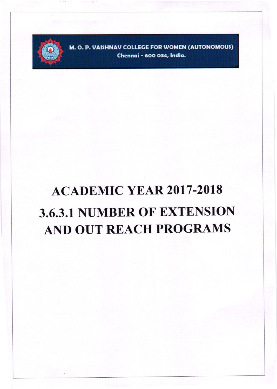

M. O. P. VAISHNAV COLLEGE FOR WOMEN (AUTONOMOUS) Chennai - 600 034, India.

## **ACADEMIC YEAR 2017-2018** 3.6.3.1 NUMBER OF EXTENSION **AND OUT REACH PROGRAMS**